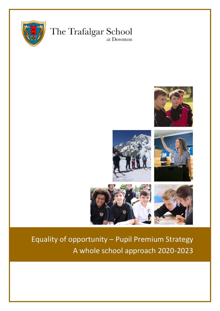

# The Trafalgar School at Downton



# Equality of opportunity – Pupil Premium Strategy A whole school approach 2020-2023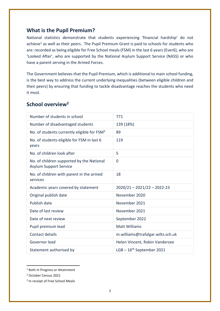#### **What is the Pupil Premium?**

National statistics demonstrate that students experiencing 'financial hardship' do not achieve<sup>1</sup> as well as their peers. The Pupil Premium Grant is paid to schools for students who are: recorded as being eligible for Free School meals (FSM) in the last 6 years (Ever6), who are 'Looked After', who are supported by the National Asylum Support Service (NASS) or who have a parent serving in the Armed Forces.

The Government believes that the Pupil Premium, which is additional to main school funding, is the best way to address the current underlying inequalities (between eligible children and their peers) by ensuring that funding to tackle disadvantage reaches the students who need it most.

### **School overview<sup>2</sup>**

| Number of students in school                                               | 771                               |
|----------------------------------------------------------------------------|-----------------------------------|
| Number of disadvantaged students                                           | 139 (18%)                         |
| No. of students currently eligible for FSM <sup>3</sup>                    | 89                                |
| No. of students eligible for FSM in last 6<br>years                        | 119                               |
| No. of children look after                                                 | 5                                 |
| No. of children supported by the National<br><b>Asylum Support Service</b> | 0                                 |
| No. of children with parent in the armed<br>services                       | 18                                |
| Academic years covered by statement                                        | $2020/21 - 2021/22 - 2022-23$     |
| Original publish date                                                      | November 2020                     |
| Publish date                                                               | November 2021                     |
| Date of last review                                                        | November 2021                     |
| Date of next review                                                        | September 2022                    |
| Pupil premium lead                                                         | <b>Matt Williams</b>              |
| Contact details                                                            | m.williams@trafalgar.wilts.sch.uk |
| Governor lead                                                              | Helen Vincent, Robin Vanderzee    |
| Statement authorised by                                                    | $LGB - 16th$ September 2021       |

<sup>1</sup> Both in Progress or Attainment

<sup>2</sup> October Census 2021

**.** 

<sup>&</sup>lt;sup>3</sup> In receipt of Free School Meals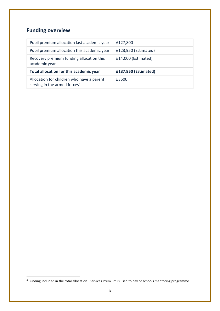# **Funding overview**

**.** 

| Pupil premium allocation last academic year                                           | £127,800             |
|---------------------------------------------------------------------------------------|----------------------|
| Pupil premium allocation this academic year                                           | £123,950 (Estimated) |
| Recovery premium funding allocation this<br>academic year                             | £14,000 (Estimated)  |
| Total allocation for this academic year                                               | £137,950 (Estimated) |
| Allocation for children who have a parent<br>serving in the armed forces <sup>4</sup> | £3500                |

<sup>&</sup>lt;sup>4</sup> Funding included in the total allocation. Services Premium is used to pay or schools mentoring programme.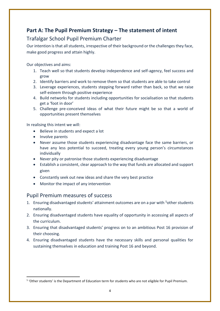# **Part A: The Pupil Premium Strategy – The statement of intent**

## Trafalgar School Pupil Premium Charter

Our intention is that all students, irrespective of their background or the challenges they face, make good progress and attain highly.

Our objectives and aims:

- 1. Teach well so that students develop independence and self-agency, feel success and grow
- 2. Identify barriers and work to remove them so that students are able to take control
- 3. Leverage experiences, students stepping forward rather than back, so that we raise self-esteem through positive experience
- 4. Build networks for students including opportunities for socialisation so that students get a 'foot in door'
- 5. Challenge pre-conceived ideas of what their future might be so that a world of opportunities present themselves

In realising this intent we will:

- Believe in students and expect a lot
- Involve parents

**.** 

- Never assume those students experiencing disadvantage face the same barriers, or have any less potential to succeed, treating every young person's circumstances individually
- Never pity or patronise those students experiencing disadvantage
- Establish a consistent, clear approach to the way that funds are allocated and support given
- Constantly seek out new ideas and share the very best practice
- Monitor the impact of any intervention

#### Pupil Premium measures of success

- 1. Ensuring disadvantaged students' attainment outcomes are on a par with <sup>5</sup>other students nationally.
- 2. Ensuring disadvantaged students have equality of opportunity in accessing all aspects of the curriculum.
- 3. Ensuring that disadvantaged students' progress on to an ambitious Post 16 provision of their choosing.
- 4. Ensuring disadvantaged students have the necessary skills and personal qualities for sustaining themselves in education and training Post 16 and beyond.

<sup>&</sup>lt;sup>5</sup> 'Other students' is the Department of Education term for students who are not eligible for Pupil Premium.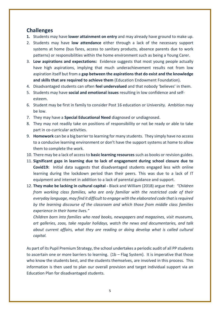#### **Challenges**

- **1.** Students may have **lower attainment on entry** and may already have ground to make up.
- 2. Students may have **low attendance** either through a lack of the necessary support systems at home (bus fares, access to sanitary products, absence parents due to work patterns) or responsibilities within the home environment such as being a Young Carer.
- 3. **Low aspirations and expectations:** Evidence suggests that most young people actually have high aspirations, implying that much underachievement results not from low aspiration itself but from a **gap between the aspirations that do exist and the knowledge and skills that are required to achieve them** (Education Endowment Foundation).
- 4. Disadvantaged students can often **feel undervalued** and that nobody 'believes' in them.
- 5. Students may have **social and emotional issues** resulting in low confidence and selfesteem.
- 6. Student may be first in family to consider Post 16 education or University. Ambition may be low.
- 7. They may have a **Special Educational Need** diagnosed or undiagnosed.
- 8. They may not readily take on positions of responsibility or not be ready or able to take part in co-curricular activities.
- 9. **Homework** can be a big barrier to learning for many students. They simply have no access to a conducive learning environment or don't have the support systems at home to allow them to complete the work.
- 10. There may be a lack of access to **basic learning resources** such as books or revision guides.
- 11. **Significant gaps in learning due to lack of engagement during school closure due to Covid19:** Initial data suggests that disadvantaged students engaged less with online learning during the lockdown period than their peers. This was due to a lack of IT equipment and internet in addition to a lack of parental guidance and support.
- 12. **They make be lacking in cultural capital -** Black and William (2018) argue that: *"Children from working class families, who are only familiar with the restricted code of their everyday language, may find it difficult to engage with the elaborated code that is required by the learning discourse of the classroom and which those from middle class families experience in their home lives."*

*Children born into families who read books, newspapers and magazines, visit museums, art galleries, zoos, take regular holidays, watch the news and documentaries, and talk about current affairs, what they are reading or doing develop what is called cultural capital.*

As part of its Pupil Premium Strategy, the school undertakes a periodic audit of all PP students to ascertain one or more barriers to learning. (1b – Flag System). It is imperative that those who know the students best, and the students themselves, are involved in this process. This information is then used to plan our overall provision and target individual support via an Education Plan for disadvantaged students.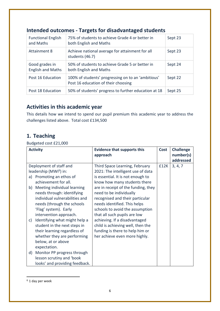| <b>Functional English</b><br>and Maths     | 75% of students to achieve Grade 4 or better in<br>both English and Maths                 | Sept 23 |
|--------------------------------------------|-------------------------------------------------------------------------------------------|---------|
| <b>Attainment 8</b>                        | Achieve national average for attainment for all<br>students (46.7)                        | Sept 23 |
| Good grades in<br><b>English and Maths</b> | 50% of students to achieve Grade 5 or better in<br>both English and Maths                 | Sept 24 |
| Post 16 Education                          | 100% of students' progressing on to an 'ambitious'<br>Post 16 education of their choosing | Sept 22 |
| Post 18 Education                          | 50% of students' progress to further education at 18                                      | Sept 25 |

## **Intended outcomes - Targets for disadvantaged students**

## **Activities in this academic year**

This details how we intend to spend our pupil premium this academic year to address the challenges listed above. Total cost £134,500

# **1. Teaching**

Budgeted cost £21,000

|    | <b>Activity</b>                    | <b>Evidence that supports this</b>  | <b>Cost</b> | <b>Challenge</b> |
|----|------------------------------------|-------------------------------------|-------------|------------------|
|    |                                    | approach                            |             | number(s)        |
|    |                                    |                                     |             | addressed        |
|    | Deployment of staff and            | Third Space Learning, February      | £12K        | 3, 4, 7          |
|    | leadership (MWi <sup>6</sup> ) in: | 2021: The intelligent use of data   |             |                  |
| a) | Promoting an ethos of              | is essential. It is not enough to   |             |                  |
|    | achievement for all.               | know how many students there        |             |                  |
|    | b) Meeting individual learning     | are in receipt of the funding, they |             |                  |
|    | needs through: identifying         | need to be individually             |             |                  |
|    | individual vulnerabilities and     | recognised and their particular     |             |                  |
|    | needs (through the schools         | needs identified. This helps        |             |                  |
|    | 'Flag' system). Early              | schools to avoid the assumption     |             |                  |
|    | intervention approach.             | that all such pupils are low        |             |                  |
| c) | Identifying what might help a      | achieving. If a disadvantaged       |             |                  |
|    | student in the next steps in       | child is achieving well, then the   |             |                  |
|    | their learning regardless of       | funding is there to help him or     |             |                  |
|    | whether they are performing        | her achieve even more highly.       |             |                  |
|    | below, at or above                 |                                     |             |                  |
|    | expectation.                       |                                     |             |                  |
| d) | Monitor PP progress through        |                                     |             |                  |
|    | lesson scrutiny and 'book          |                                     |             |                  |
|    | looks' and providing feedback.     |                                     |             |                  |

<sup>6</sup> 1 day per week

**.**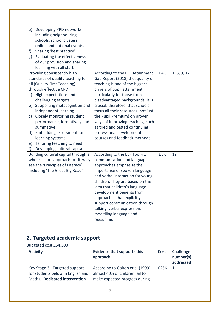| e) | Developing PPD networks             |                                     |     |             |
|----|-------------------------------------|-------------------------------------|-----|-------------|
|    | including neighbouring              |                                     |     |             |
|    | schools, school clusters,           |                                     |     |             |
|    | online and national events.         |                                     |     |             |
| f) | Sharing 'best practice'.            |                                     |     |             |
| g) | Evaluating the effectiveness        |                                     |     |             |
|    | of our provision and sharing        |                                     |     |             |
|    | learning with all staff.            |                                     |     |             |
|    | Providing consistently high         | According to the EEF Attainment     | £4K | 1, 3, 9, 12 |
|    | standards of quality teaching for   | Gap Report (2018) the, quality of   |     |             |
|    | all (Quality First Teaching)        | teaching is one of the biggest      |     |             |
|    | through effective CPD:              | drivers of pupil attainment,        |     |             |
|    | a) High expectations and            | particularly for those from         |     |             |
|    | challenging targets                 | disadvantaged backgrounds. It is    |     |             |
| b) | Supporting metacognition and        | crucial, therefore, that schools    |     |             |
|    | independent learning                | focus all their resources (not just |     |             |
| C) | Closely monitoring student          | the Pupil Premium) on proven        |     |             |
|    | performance, formatively and        | ways of improving teaching, such    |     |             |
|    | summative                           | as tried and tested continuing      |     |             |
| d) | Embedding assessment for            | professional development            |     |             |
|    | learning systems                    | courses and feedback methods.       |     |             |
| e) | Tailoring teaching to need          |                                     |     |             |
| f) | Developing cultural capital         |                                     |     |             |
|    | Building cultural capital through a | According to the EEF Toolkit,       | £5K | 12          |
|    | whole school approach to Literacy   | communication and language          |     |             |
|    | see the 'Principles of Literacy'.   | approaches emphasise the            |     |             |
|    | Including 'The Great Big Read'      | importance of spoken language       |     |             |
|    |                                     | and verbal interaction for young    |     |             |
|    |                                     | children. They are based on the     |     |             |
|    |                                     | idea that children's language       |     |             |
|    |                                     | development benefits from           |     |             |
|    |                                     | approaches that explicitly          |     |             |
|    |                                     | support communication through       |     |             |
|    |                                     | talking, verbal expression,         |     |             |
|    |                                     | modelling language and              |     |             |
|    |                                     | reasoning.                          |     |             |

# **2. Targeted academic support**

Budgeted cost £64,500

| <b>Activity</b>                   | <b>Evidence that supports this</b><br>approach | Cost | <b>Challenge</b><br>number(s)<br>addressed |
|-----------------------------------|------------------------------------------------|------|--------------------------------------------|
| Key Stage 3 - Targeted support    | According to Galton et al (1999),              | £25K | -1                                         |
| for students below in English and | almost 40% of children fail to                 |      |                                            |
| Maths. Dedicated intervention     | make expected progress during                  |      |                                            |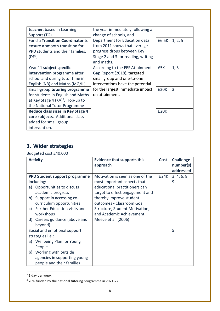| teacher, based in Learning<br>Support (TG)                                                                                                 | the year immediately following a<br>change of schools, and                                                                                      |             |         |
|--------------------------------------------------------------------------------------------------------------------------------------------|-------------------------------------------------------------------------------------------------------------------------------------------------|-------------|---------|
| Fund a Transition Coordinator to<br>ensure a smooth transition for<br>PPD students and their families.<br>(DF <sup>7</sup> )               | Department for Education data<br>from 2011 shows that average<br>progress drops between Key<br>Stage 2 and 3 for reading, writing<br>and maths. | £6.5K       | 1, 2, 5 |
| Year 11 subject specific<br>intervention programme after<br>school and during tutor time in<br>English (NB) and Maths (MG/IL)              | According to the EEF Attainment<br>Gap Report (2018), targeted<br>small group and one-to-one<br>interventions have the potential                | £5K         | 1, 3    |
| Small-group tutoring programme<br>for students in English and Maths<br>at Key Stage 4 $(KA)^8$ . Top-up to<br>the National Tutor Programme | for the largest immediate impact<br>on attainment.                                                                                              | <b>£20K</b> | 3       |
| <b>Reduce class sizes in Key Stage 4</b><br>core subjects. Additional class<br>added for small group<br>intervention.                      |                                                                                                                                                 | £20K        |         |

# **3. Wider strategies**

Budgeted cost £40,000

|    | <b>Activity</b>               | <b>Evidence that supports this</b><br>approach | <b>Cost</b> | <b>Challenge</b><br>number(s) |
|----|-------------------------------|------------------------------------------------|-------------|-------------------------------|
|    |                               |                                                |             | addressed                     |
|    | PPD Student support programme | Motivation is seen as one of the               | E24K        | 3, 4, 6, 8,                   |
|    | including:                    | most important aspects that                    |             | 9                             |
| a) | Opportunities to discuss      | educational practitioners can                  |             |                               |
|    | academic progress             | target to effect engagement and                |             |                               |
| b) | Support in accessing co-      | thereby improve student                        |             |                               |
|    | curriculum opportunities      | outcomes - Classroom Goal                      |             |                               |
| C) | Further Education visits and  | Structure, Student Motivation,                 |             |                               |
|    | workshops                     | and Academic Achievement,                      |             |                               |
| d) | Careers guidance (above and   | Meece et al. (2006)                            |             |                               |
|    | beyond)                       |                                                |             |                               |
|    | Social and emotional support  |                                                |             | 5                             |
|    | strategies <i>i.e.</i> :      |                                                |             |                               |
|    | a) Wellbeing Plan for Young   |                                                |             |                               |
|    | People                        |                                                |             |                               |
|    | b) Working with outside       |                                                |             |                               |
|    | agencies in supporting young  |                                                |             |                               |
|    | people and their families     |                                                |             |                               |

 $7$  1 day per week

1

<sup>8</sup> 70% funded by the national tutoring programme in 2021-22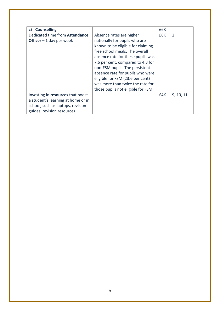| <b>Counselling</b><br>c)           |                                    | £6K |                |
|------------------------------------|------------------------------------|-----|----------------|
| Dedicated time from Attendance     | Absence rates are higher           | £6K | $\overline{2}$ |
| <b>Officer</b> $-1$ day per week   | nationally for pupils who are      |     |                |
|                                    | known to be eligible for claiming  |     |                |
|                                    | free school meals. The overall     |     |                |
|                                    | absence rate for these pupils was  |     |                |
|                                    | 7.6 per cent, compared to 4.3 for  |     |                |
|                                    | non-FSM pupils. The persistent     |     |                |
|                                    | absence rate for pupils who were   |     |                |
|                                    | eligible for FSM (23.6 per cent)   |     |                |
|                                    | was more than twice the rate for   |     |                |
|                                    | those pupils not eligible for FSM. |     |                |
| Investing in resources that boost  |                                    | £4K | 9, 10, 11      |
| a student's learning at home or in |                                    |     |                |
| school, such as laptops, revision  |                                    |     |                |
| guides, revision resources.        |                                    |     |                |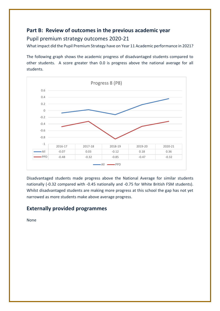## **Part B: Review of outcomes in the previous academic year**

#### Pupil premium strategy outcomes 2020-21

What impact did the Pupil Premium Strategy have on Year 11 Academic performance in 2021?

The following graph shows the academic progress of disadvantaged students compared to other students. A score greater than 0.0 is progress above the national average for all students.



Disadvantaged students made progress above the National Average for similar students nationally (-0.32 compared with -0.45 nationally and -0.75 for White British FSM students). Whilst disadvantaged students are making more progress at this school the gap has not yet narrowed as more students make above average progress.

### **Externally provided programmes**

None